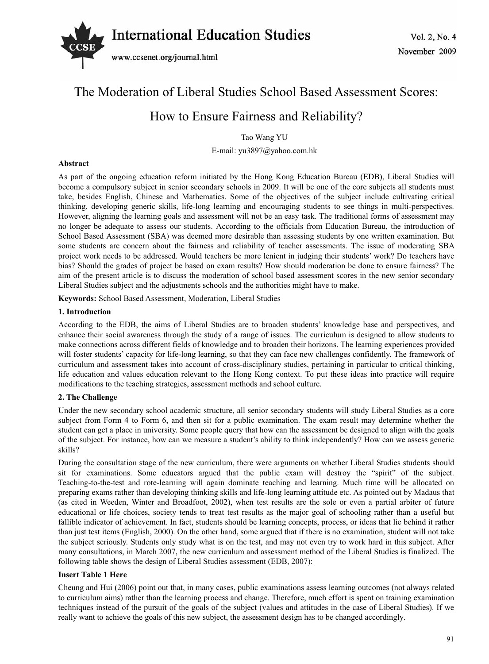

## The Moderation of Liberal Studies School Based Assessment Scores:

# How to Ensure Fairness and Reliability?

Tao Wang YU

E-mail: yu3897@yahoo.com.hk

### **Abstract**

As part of the ongoing education reform initiated by the Hong Kong Education Bureau (EDB), Liberal Studies will become a compulsory subject in senior secondary schools in 2009. It will be one of the core subjects all students must take, besides English, Chinese and Mathematics. Some of the objectives of the subject include cultivating critical thinking, developing generic skills, life-long learning and encouraging students to see things in multi-perspectives. However, aligning the learning goals and assessment will not be an easy task. The traditional forms of assessment may no longer be adequate to assess our students. According to the officials from Education Bureau, the introduction of School Based Assessment (SBA) was deemed more desirable than assessing students by one written examination. But some students are concern about the fairness and reliability of teacher assessments. The issue of moderating SBA project work needs to be addressed. Would teachers be more lenient in judging their students' work? Do teachers have bias? Should the grades of project be based on exam results? How should moderation be done to ensure fairness? The aim of the present article is to discuss the moderation of school based assessment scores in the new senior secondary Liberal Studies subject and the adjustments schools and the authorities might have to make.

**Keywords:** School Based Assessment, Moderation, Liberal Studies

### **1. Introduction**

According to the EDB, the aims of Liberal Studies are to broaden students' knowledge base and perspectives, and enhance their social awareness through the study of a range of issues. The curriculum is designed to allow students to make connections across different fields of knowledge and to broaden their horizons. The learning experiences provided will foster students' capacity for life-long learning, so that they can face new challenges confidently. The framework of curriculum and assessment takes into account of cross-disciplinary studies, pertaining in particular to critical thinking, life education and values education relevant to the Hong Kong context. To put these ideas into practice will require modifications to the teaching strategies, assessment methods and school culture.

## **2. The Challenge**

Under the new secondary school academic structure, all senior secondary students will study Liberal Studies as a core subject from Form 4 to Form 6, and then sit for a public examination. The exam result may determine whether the student can get a place in university. Some people query that how can the assessment be designed to align with the goals of the subject. For instance, how can we measure a student's ability to think independently? How can we assess generic skills?

During the consultation stage of the new curriculum, there were arguments on whether Liberal Studies students should sit for examinations. Some educators argued that the public exam will destroy the "spirit" of the subject. Teaching-to-the-test and rote-learning will again dominate teaching and learning. Much time will be allocated on preparing exams rather than developing thinking skills and life-long learning attitude etc. As pointed out by Madaus that (as cited in Weeden, Winter and Broadfoot, 2002), when test results are the sole or even a partial arbiter of future educational or life choices, society tends to treat test results as the major goal of schooling rather than a useful but fallible indicator of achievement. In fact, students should be learning concepts, process, or ideas that lie behind it rather than just test items (English, 2000). On the other hand, some argued that if there is no examination, student will not take the subject seriously. Students only study what is on the test, and may not even try to work hard in this subject. After many consultations, in March 2007, the new curriculum and assessment method of the Liberal Studies is finalized. The following table shows the design of Liberal Studies assessment (EDB, 2007):

#### **Insert Table 1 Here**

Cheung and Hui (2006) point out that, in many cases, public examinations assess learning outcomes (not always related to curriculum aims) rather than the learning process and change. Therefore, much effort is spent on training examination techniques instead of the pursuit of the goals of the subject (values and attitudes in the case of Liberal Studies). If we really want to achieve the goals of this new subject, the assessment design has to be changed accordingly.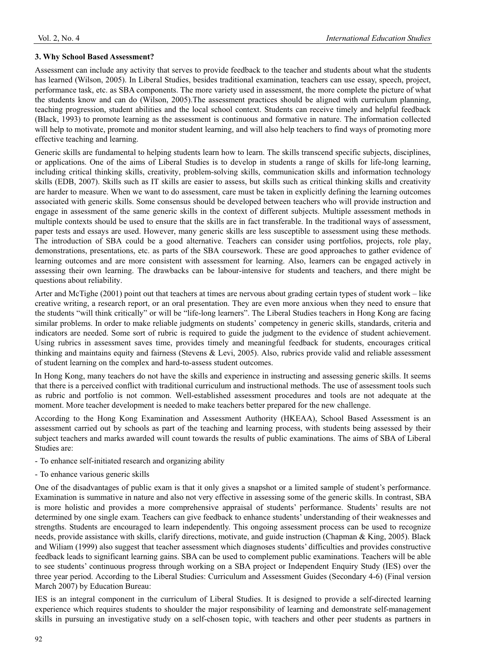## **3. Why School Based Assessment?**

Assessment can include any activity that serves to provide feedback to the teacher and students about what the students has learned (Wilson, 2005). In Liberal Studies, besides traditional examination, teachers can use essay, speech, project, performance task, etc. as SBA components. The more variety used in assessment, the more complete the picture of what the students know and can do (Wilson, 2005).The assessment practices should be aligned with curriculum planning, teaching progression, student abilities and the local school context. Students can receive timely and helpful feedback (Black, 1993) to promote learning as the assessment is continuous and formative in nature. The information collected will help to motivate, promote and monitor student learning, and will also help teachers to find ways of promoting more effective teaching and learning.

Generic skills are fundamental to helping students learn how to learn. The skills transcend specific subjects, disciplines, or applications. One of the aims of Liberal Studies is to develop in students a range of skills for life-long learning, including critical thinking skills, creativity, problem-solving skills, communication skills and information technology skills (EDB, 2007). Skills such as IT skills are easier to assess, but skills such as critical thinking skills and creativity are harder to measure. When we want to do assessment, care must be taken in explicitly defining the learning outcomes associated with generic skills. Some consensus should be developed between teachers who will provide instruction and engage in assessment of the same generic skills in the context of different subjects. Multiple assessment methods in multiple contexts should be used to ensure that the skills are in fact transferable. In the traditional ways of assessment, paper tests and essays are used. However, many generic skills are less susceptible to assessment using these methods. The introduction of SBA could be a good alternative. Teachers can consider using portfolios, projects, role play, demonstrations, presentations, etc. as parts of the SBA coursework. These are good approaches to gather evidence of learning outcomes and are more consistent with assessment for learning. Also, learners can be engaged actively in assessing their own learning. The drawbacks can be labour-intensive for students and teachers, and there might be questions about reliability.

Arter and McTighe (2001) point out that teachers at times are nervous about grading certain types of student work – like creative writing, a research report, or an oral presentation. They are even more anxious when they need to ensure that the students "will think critically" or will be "life-long learners". The Liberal Studies teachers in Hong Kong are facing similar problems. In order to make reliable judgments on students' competency in generic skills, standards, criteria and indicators are needed. Some sort of rubric is required to guide the judgment to the evidence of student achievement. Using rubrics in assessment saves time, provides timely and meaningful feedback for students, encourages critical thinking and maintains equity and fairness (Stevens & Levi, 2005). Also, rubrics provide valid and reliable assessment of student learning on the complex and hard-to-assess student outcomes.

In Hong Kong, many teachers do not have the skills and experience in instructing and assessing generic skills. It seems that there is a perceived conflict with traditional curriculum and instructional methods. The use of assessment tools such as rubric and portfolio is not common. Well-established assessment procedures and tools are not adequate at the moment. More teacher development is needed to make teachers better prepared for the new challenge.

According to the Hong Kong Examination and Assessment Authority (HKEAA), School Based Assessment is an assessment carried out by schools as part of the teaching and learning process, with students being assessed by their subject teachers and marks awarded will count towards the results of public examinations. The aims of SBA of Liberal Studies are:

- To enhance self-initiated research and organizing ability

- To enhance various generic skills

One of the disadvantages of public exam is that it only gives a snapshot or a limited sample of student's performance. Examination is summative in nature and also not very effective in assessing some of the generic skills. In contrast, SBA is more holistic and provides a more comprehensive appraisal of students' performance. Students' results are not determined by one single exam. Teachers can give feedback to enhance students' understanding of their weaknesses and strengths. Students are encouraged to learn independently. This ongoing assessment process can be used to recognize needs, provide assistance with skills, clarify directions, motivate, and guide instruction (Chapman & King, 2005). Black and Wiliam (1999) also suggest that teacher assessment which diagnoses students' difficulties and provides constructive feedback leads to significant learning gains. SBA can be used to complement public examinations. Teachers will be able to see students' continuous progress through working on a SBA project or Independent Enquiry Study (IES) over the three year period. According to the Liberal Studies: Curriculum and Assessment Guides (Secondary 4-6) (Final version March 2007) by Education Bureau:

IES is an integral component in the curriculum of Liberal Studies. It is designed to provide a self-directed learning experience which requires students to shoulder the major responsibility of learning and demonstrate self-management skills in pursuing an investigative study on a self-chosen topic, with teachers and other peer students as partners in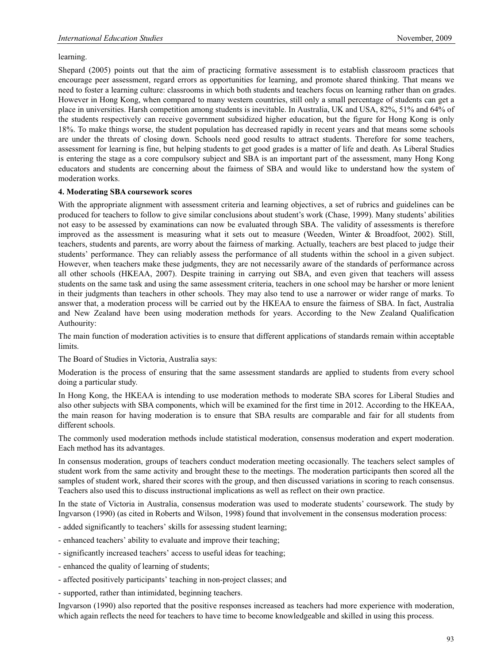#### learning.

Shepard (2005) points out that the aim of practicing formative assessment is to establish classroom practices that encourage peer assessment, regard errors as opportunities for learning, and promote shared thinking. That means we need to foster a learning culture: classrooms in which both students and teachers focus on learning rather than on grades. However in Hong Kong, when compared to many western countries, still only a small percentage of students can get a place in universities. Harsh competition among students is inevitable. In Australia, UK and USA, 82%, 51% and 64% of the students respectively can receive government subsidized higher education, but the figure for Hong Kong is only 18%. To make things worse, the student population has decreased rapidly in recent years and that means some schools are under the threats of closing down. Schools need good results to attract students. Therefore for some teachers, assessment for learning is fine, but helping students to get good grades is a matter of life and death. As Liberal Studies is entering the stage as a core compulsory subject and SBA is an important part of the assessment, many Hong Kong educators and students are concerning about the fairness of SBA and would like to understand how the system of moderation works.

#### **4. Moderating SBA coursework scores**

With the appropriate alignment with assessment criteria and learning objectives, a set of rubrics and guidelines can be produced for teachers to follow to give similar conclusions about student's work (Chase, 1999). Many students' abilities not easy to be assessed by examinations can now be evaluated through SBA. The validity of assessments is therefore improved as the assessment is measuring what it sets out to measure (Weeden, Winter & Broadfoot, 2002). Still, teachers, students and parents, are worry about the fairness of marking. Actually, teachers are best placed to judge their students' performance. They can reliably assess the performance of all students within the school in a given subject. However, when teachers make these judgments, they are not necessarily aware of the standards of performance across all other schools (HKEAA, 2007). Despite training in carrying out SBA, and even given that teachers will assess students on the same task and using the same assessment criteria, teachers in one school may be harsher or more lenient in their judgments than teachers in other schools. They may also tend to use a narrower or wider range of marks. To answer that, a moderation process will be carried out by the HKEAA to ensure the fairness of SBA. In fact, Australia and New Zealand have been using moderation methods for years. According to the New Zealand Qualification Authourity:

The main function of moderation activities is to ensure that different applications of standards remain within acceptable **limits** 

The Board of Studies in Victoria, Australia says:

Moderation is the process of ensuring that the same assessment standards are applied to students from every school doing a particular study.

In Hong Kong, the HKEAA is intending to use moderation methods to moderate SBA scores for Liberal Studies and also other subjects with SBA components, which will be examined for the first time in 2012. According to the HKEAA, the main reason for having moderation is to ensure that SBA results are comparable and fair for all students from different schools.

The commonly used moderation methods include statistical moderation, consensus moderation and expert moderation. Each method has its advantages.

In consensus moderation, groups of teachers conduct moderation meeting occasionally. The teachers select samples of student work from the same activity and brought these to the meetings. The moderation participants then scored all the samples of student work, shared their scores with the group, and then discussed variations in scoring to reach consensus. Teachers also used this to discuss instructional implications as well as reflect on their own practice.

In the state of Victoria in Australia, consensus moderation was used to moderate students' coursework. The study by Ingvarson (1990) (as cited in Roberts and Wilson, 1998) found that involvement in the consensus moderation process:

- added significantly to teachers' skills for assessing student learning;
- enhanced teachers' ability to evaluate and improve their teaching;
- significantly increased teachers' access to useful ideas for teaching;
- enhanced the quality of learning of students;
- affected positively participants' teaching in non-project classes; and
- supported, rather than intimidated, beginning teachers.

Ingvarson (1990) also reported that the positive responses increased as teachers had more experience with moderation, which again reflects the need for teachers to have time to become knowledgeable and skilled in using this process.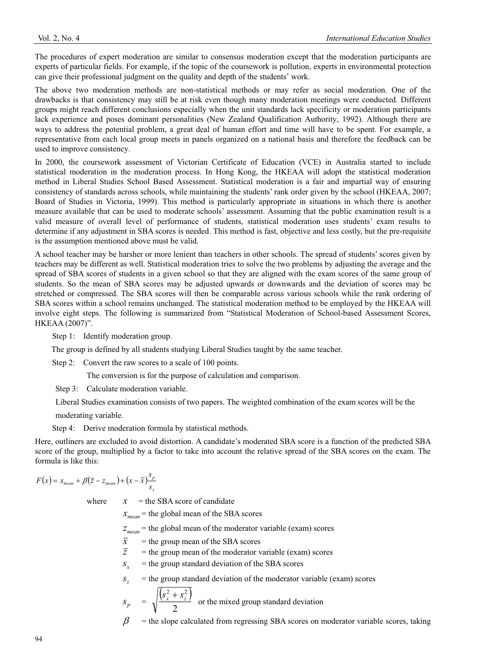The procedures of expert moderation are similar to consensus moderation except that the moderation participants are experts of particular fields. For example, if the topic of the coursework is pollution, experts in environmental protection can give their professional judgment on the quality and depth of the students' work.

The above two moderation methods are non-statistical methods or may refer as social moderation. One of the drawbacks is that consistency may still be at risk even though many moderation meetings were conducted. Different groups might reach different conclusions especially when the unit standards lack specificity or moderation participants lack experience and poses dominant personalities (New Zealand Qualification Authority, 1992). Although there are ways to address the potential problem, a great deal of human effort and time will have to be spent. For example, a representative from each local group meets in panels organized on a national basis and therefore the feedback can be used to improve consistency.

In 2000, the coursework assessment of Victorian Certificate of Education (VCE) in Australia started to include statistical moderation in the moderation process. In Hong Kong, the HKEAA will adopt the statistical moderation method in Liberal Studies School Based Assessment. Statistical moderation is a fair and impartial way of ensuring consistency of standards across schools, while maintaining the students' rank order given by the school (HKEAA, 2007; Board of Studies in Victoria, 1999). This method is particularly appropriate in situations in which there is another measure available that can be used to moderate schools' assessment. Assuming that the public examination result is a valid measure of overall level of performance of students, statistical moderation uses students' exam results to determine if any adjustment in SBA scores is needed. This method is fast, objective and less costly, but the pre-requisite is the assumption mentioned above must be valid.

A school teacher may be harsher or more lenient than teachers in other schools. The spread of students' scores given by teachers may be different as well. Statistical moderation tries to solve the two problems by adjusting the average and the spread of SBA scores of students in a given school so that they are aligned with the exam scores of the same group of students. So the mean of SBA scores may be adjusted upwards or downwards and the deviation of scores may be stretched or compressed. The SBA scores will then be comparable across various schools while the rank ordering of SBA scores within a school remains unchanged. The statistical moderation method to be employed by the HKEAA will involve eight steps. The following is summarized from "Statistical Moderation of School-based Assessment Scores, HKEAA (2007)".

Step 1: Identify moderation group.

The group is defined by all students studying Liberal Studies taught by the same teacher.

Step 2: Convert the raw scores to a scale of 100 points.

The conversion is for the purpose of calculation and comparison.

Step 3: Calculate moderation variable.

 Liberal Studies examination consists of two papers. The weighted combination of the exam scores will be the moderating variable.

Step 4: Derive moderation formula by statistical methods.

Here, outliners are excluded to avoid distortion. A candidate's moderated SBA score is a function of the predicted SBA score of the group, multiplied by a factor to take into account the relative spread of the SBA scores on the exam. The formula is like this:

$$
F(x) = x_{mean} + \beta(\overline{z} - z_{mean}) + (x - \overline{x})\frac{s_p}{s_x}
$$

where  $x =$  the SBA score of candidate

 $x_{\text{mean}}$  = the global mean of the SBA scores

 $z_{mean}$  = the global mean of the moderator variable (exam) scores

- $\bar{x}$  = the group mean of the SBA scores
- $\overline{z}$  = the group mean of the moderator variable (exam) scores
- $s_r$  = the group standard deviation of the SBA scores

 $s<sub>z</sub>$  = the group standard deviation of the moderator variable (exam) scores

$$
s_p = \sqrt{\frac{(s_x^2 + s_z^2)}{2}}
$$
 or the mixed group standard deviation

 $\beta$  = the slope calculated from regressing SBA scores on moderator variable scores, taking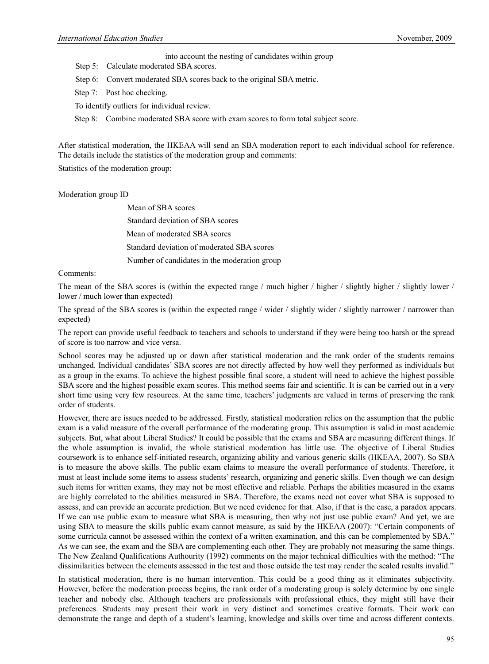into account the nesting of candidates within group

Step 5: Calculate moderated SBA scores.

Step 6: Convert moderated SBA scores back to the original SBA metric.

Step 7: Post hoc checking.

To identify outliers for individual review.

Step 8: Combine moderated SBA score with exam scores to form total subject score.

After statistical moderation, the HKEAA will send an SBA moderation report to each individual school for reference. The details include the statistics of the moderation group and comments:

Statistics of the moderation group:

#### Moderation group ID

 Mean of SBA scores Standard deviation of SBA scores Mean of moderated SBA scores Standard deviation of moderated SBA scores Number of candidates in the moderation group

Comments:

The mean of the SBA scores is (within the expected range / much higher / higher / slightly higher / slightly lower / lower / much lower than expected)

The spread of the SBA scores is (within the expected range / wider / slightly wider / slightly narrower / narrower than expected)

The report can provide useful feedback to teachers and schools to understand if they were being too harsh or the spread of score is too narrow and vice versa.

School scores may be adjusted up or down after statistical moderation and the rank order of the students remains unchanged. Individual candidates' SBA scores are not directly affected by how well they performed as individuals but as a group in the exams. To achieve the highest possible final score, a student will need to achieve the highest possible SBA score and the highest possible exam scores. This method seems fair and scientific. It is can be carried out in a very short time using very few resources. At the same time, teachers' judgments are valued in terms of preserving the rank order of students.

However, there are issues needed to be addressed. Firstly, statistical moderation relies on the assumption that the public exam is a valid measure of the overall performance of the moderating group. This assumption is valid in most academic subjects. But, what about Liberal Studies? It could be possible that the exams and SBA are measuring different things. If the whole assumption is invalid, the whole statistical moderation has little use. The objective of Liberal Studies coursework is to enhance self-initiated research, organizing ability and various generic skills (HKEAA, 2007). So SBA is to measure the above skills. The public exam claims to measure the overall performance of students. Therefore, it must at least include some items to assess students' research, organizing and generic skills. Even though we can design such items for written exams, they may not be most effective and reliable. Perhaps the abilities measured in the exams are highly correlated to the abilities measured in SBA. Therefore, the exams need not cover what SBA is supposed to assess, and can provide an accurate prediction. But we need evidence for that. Also, if that is the case, a paradox appears. If we can use public exam to measure what SBA is measuring, then why not just use public exam? And yet, we are using SBA to measure the skills public exam cannot measure, as said by the HKEAA (2007): "Certain components of some curricula cannot be assessed within the context of a written examination, and this can be complemented by SBA." As we can see, the exam and the SBA are complementing each other. They are probably not measuring the same things. The New Zealand Qualifications Authourity (1992) comments on the major technical difficulties with the method: "The dissimilarities between the elements assessed in the test and those outside the test may render the scaled results invalid."

In statistical moderation, there is no human intervention. This could be a good thing as it eliminates subjectivity. However, before the moderation process begins, the rank order of a moderating group is solely determine by one single teacher and nobody else. Although teachers are professionals with professional ethics, they might still have their preferences. Students may present their work in very distinct and sometimes creative formats. Their work can demonstrate the range and depth of a student's learning, knowledge and skills over time and across different contexts.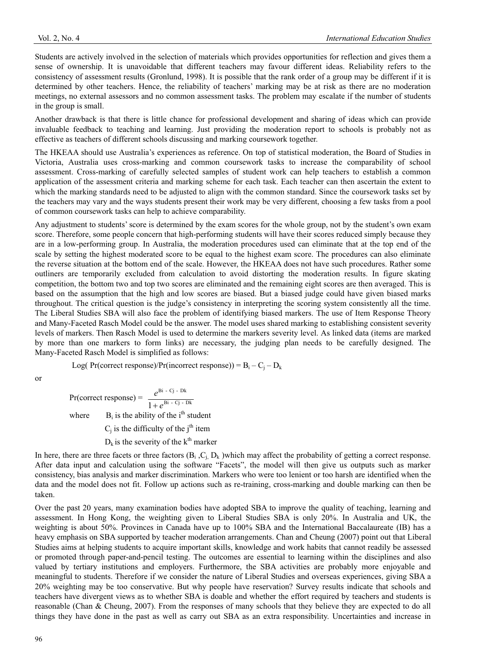Students are actively involved in the selection of materials which provides opportunities for reflection and gives them a sense of ownership. It is unavoidable that different teachers may favour different ideas. Reliability refers to the consistency of assessment results (Gronlund, 1998). It is possible that the rank order of a group may be different if it is determined by other teachers. Hence, the reliability of teachers' marking may be at risk as there are no moderation meetings, no external assessors and no common assessment tasks. The problem may escalate if the number of students in the group is small.

Another drawback is that there is little chance for professional development and sharing of ideas which can provide invaluable feedback to teaching and learning. Just providing the moderation report to schools is probably not as effective as teachers of different schools discussing and marking coursework together.

The HKEAA should use Australia's experiences as reference. On top of statistical moderation, the Board of Studies in Victoria, Australia uses cross-marking and common coursework tasks to increase the comparability of school assessment. Cross-marking of carefully selected samples of student work can help teachers to establish a common application of the assessment criteria and marking scheme for each task. Each teacher can then ascertain the extent to which the marking standards need to be adjusted to align with the common standard. Since the coursework tasks set by the teachers may vary and the ways students present their work may be very different, choosing a few tasks from a pool of common coursework tasks can help to achieve comparability.

Any adjustment to students' score is determined by the exam scores for the whole group, not by the student's own exam score. Therefore, some people concern that high-performing students will have their scores reduced simply because they are in a low-performing group. In Australia, the moderation procedures used can eliminate that at the top end of the scale by setting the highest moderated score to be equal to the highest exam score. The procedures can also eliminate the reverse situation at the bottom end of the scale. However, the HKEAA does not have such procedures. Rather some outliners are temporarily excluded from calculation to avoid distorting the moderation results. In figure skating competition, the bottom two and top two scores are eliminated and the remaining eight scores are then averaged. This is based on the assumption that the high and low scores are biased. But a biased judge could have given biased marks throughout. The critical question is the judge's consistency in interpreting the scoring system consistently all the time. The Liberal Studies SBA will also face the problem of identifying biased markers. The use of Item Response Theory and Many-Faceted Rasch Model could be the answer. The model uses shared marking to establishing consistent severity levels of markers. Then Rasch Model is used to determine the markers severity level. As linked data (items are marked by more than one markers to form links) are necessary, the judging plan needs to be carefully designed. The Many-Faceted Rasch Model is simplified as follows:

Log( Pr(correct response)/Pr(incorrect response)) =  $B_i - C_j - D_k$ 

or

 $Pr(\text{correct response}) = \frac{e^{Bi - Cj - Dk}}{1 + e^{Bi - Cj - Dk}}$ 1 *e e*  $\ddot{}$ where  $B_i$  is the ability of the i<sup>th</sup> student  $C_i$  is the difficulty of the j<sup>th</sup> item  $D_k$  is the severity of the k<sup>th</sup> marker

In here, there are three facets or three factors  $(B_i, C_i, D_k)$  which may affect the probability of getting a correct response. After data input and calculation using the software "Facets", the model will then give us outputs such as marker consistency, bias analysis and marker discrimination. Markers who were too lenient or too harsh are identified when the data and the model does not fit. Follow up actions such as re-training, cross-marking and double marking can then be taken.

Over the past 20 years, many examination bodies have adopted SBA to improve the quality of teaching, learning and assessment. In Hong Kong, the weighting given to Liberal Studies SBA is only 20%. In Australia and UK, the weighting is about 50%. Provinces in Canada have up to 100% SBA and the International Baccalaureate (IB) has a heavy emphasis on SBA supported by teacher moderation arrangements. Chan and Cheung (2007) point out that Liberal Studies aims at helping students to acquire important skills, knowledge and work habits that cannot readily be assessed or promoted through paper-and-pencil testing. The outcomes are essential to learning within the disciplines and also valued by tertiary institutions and employers. Furthermore, the SBA activities are probably more enjoyable and meaningful to students. Therefore if we consider the nature of Liberal Studies and overseas experiences, giving SBA a 20% weighting may be too conservative. But why people have reservation? Survey results indicate that schools and teachers have divergent views as to whether SBA is doable and whether the effort required by teachers and students is reasonable (Chan & Cheung, 2007). From the responses of many schools that they believe they are expected to do all things they have done in the past as well as carry out SBA as an extra responsibility. Uncertainties and increase in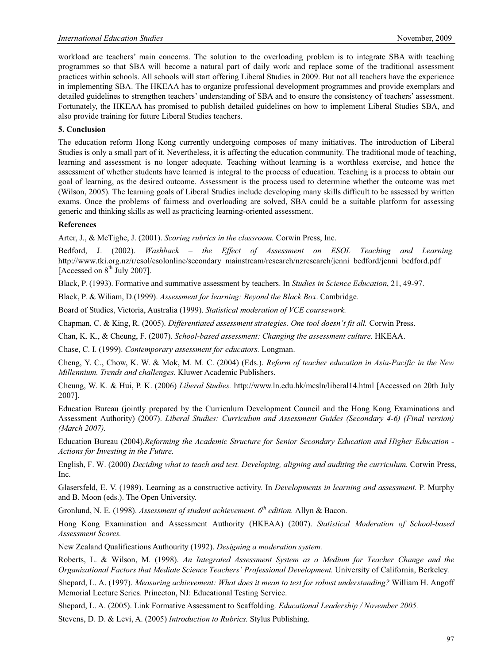workload are teachers' main concerns. The solution to the overloading problem is to integrate SBA with teaching programmes so that SBA will become a natural part of daily work and replace some of the traditional assessment practices within schools. All schools will start offering Liberal Studies in 2009. But not all teachers have the experience in implementing SBA. The HKEAA has to organize professional development programmes and provide exemplars and detailed guidelines to strengthen teachers' understanding of SBA and to ensure the consistency of teachers' assessment. Fortunately, the HKEAA has promised to publish detailed guidelines on how to implement Liberal Studies SBA, and also provide training for future Liberal Studies teachers.

## **5. Conclusion**

The education reform Hong Kong currently undergoing composes of many initiatives. The introduction of Liberal Studies is only a small part of it. Nevertheless, it is affecting the education community. The traditional mode of teaching, learning and assessment is no longer adequate. Teaching without learning is a worthless exercise, and hence the assessment of whether students have learned is integral to the process of education. Teaching is a process to obtain our goal of learning, as the desired outcome. Assessment is the process used to determine whether the outcome was met (Wilson, 2005). The learning goals of Liberal Studies include developing many skills difficult to be assessed by written exams. Once the problems of fairness and overloading are solved, SBA could be a suitable platform for assessing generic and thinking skills as well as practicing learning-oriented assessment.

### **References**

Arter, J., & McTighe, J. (2001). *Scoring rubrics in the classroom.* Corwin Press, Inc.

Bedford, J. (2002). *Washback – the Effect of Assessment on ESOL Teaching and Learning.* http://www.tki.org.nz/r/esol/esolonline/secondary\_mainstream/research/nzresearch/jenni\_bedford/jenni\_bedford.pdf [Accessed on  $8<sup>th</sup>$  July 2007].

Black, P. (1993). Formative and summative assessment by teachers. In *Studies in Science Education*, 21, 49-97.

Black, P. & Wiliam, D.(1999). *Assessment for learning: Beyond the Black Box*. Cambridge.

Board of Studies, Victoria, Australia (1999). *Statistical moderation of VCE coursework.* 

Chapman, C. & King, R. (2005). *Differentiated assessment strategies. One tool doesn't fit all.* Corwin Press.

Chan, K. K., & Cheung, F. (2007). *School-based assessment: Changing the assessment culture.* HKEAA.

Chase, C. I. (1999). *Contemporary assessment for educators.* Longman.

Cheng, Y. C., Chow, K. W. & Mok, M. M. C. (2004) (Eds.). *Reform of teacher education in Asia-Pacific in the New Millennium. Trends and challenges.* Kluwer Academic Publishers.

Cheung, W. K. & Hui, P. K. (2006) *Liberal Studies.* http://www.ln.edu.hk/mcsln/liberal14.html [Accessed on 20th July 2007].

Education Bureau (jointly prepared by the Curriculum Development Council and the Hong Kong Examinations and Assessment Authority) (2007). *Liberal Studies: Curriculum and Assessment Guides (Secondary 4-6) (Final version) (March 2007).* 

Education Bureau (2004).*Reforming the Academic Structure for Senior Secondary Education and Higher Education - Actions for Investing in the Future.* 

English, F. W. (2000) *Deciding what to teach and test. Developing, aligning and auditing the curriculum.* Corwin Press, Inc.

Glasersfeld, E. V. (1989). Learning as a constructive activity. In *Developments in learning and assessment.* P. Murphy and B. Moon (eds.). The Open University.

Gronlund, N. E. (1998). *Assessment of student achievement. 6th edition.* Allyn & Bacon.

Hong Kong Examination and Assessment Authority (HKEAA) (2007). *Statistical Moderation of School-based Assessment Scores.*

New Zealand Qualifications Authourity (1992). *Designing a moderation system.* 

Roberts, L. & Wilson, M. (1998). *An Integrated Assessment System as a Medium for Teacher Change and the Organizational Factors that Mediate Science Teachers' Professional Development.* University of California, Berkeley.

Shepard, L. A. (1997). *Measuring achievement: What does it mean to test for robust understanding?* William H. Angoff Memorial Lecture Series. Princeton, NJ: Educational Testing Service.

Shepard, L. A. (2005). Link Formative Assessment to Scaffolding*. Educational Leadership / November 2005.* 

Stevens, D. D. & Levi, A. (2005) *Introduction to Rubrics.* Stylus Publishing.